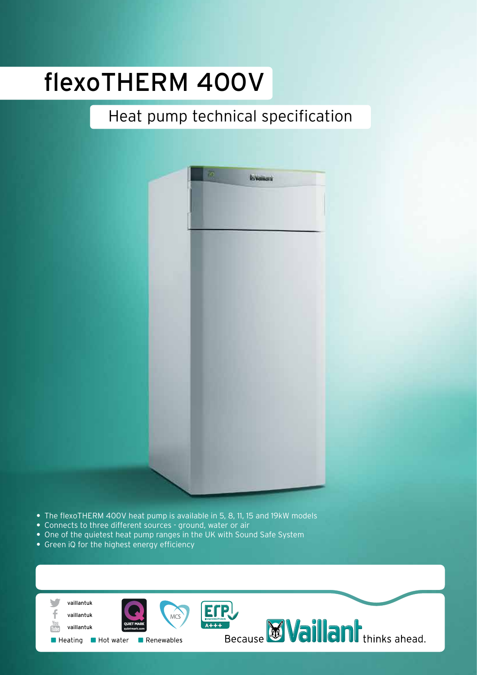# flexoTHERM 400V

## Heat pump technical specification



- **•** The flexoTHERM 400V heat pump is available in 5, 8, 11, 15 and 19kW models
- **•** Connects to three different sources ground, water or air
- **•** One of the quietest heat pump ranges in the UK with Sound Safe System
- **•** Green iQ for the highest energy efficiency

| vaillantuk                                                                           | $\mathbf{P}_{\text{L}}$                        |
|--------------------------------------------------------------------------------------|------------------------------------------------|
| MCS<br>vaillantuk<br>You<br><b>QUIET MARK</b><br>vaillantuk<br>Tube<br>quietmark.com | $A+++$                                         |
| ■ Hot water<br>$\blacksquare$ Heating<br>Renewables                                  | $\prod$ thinks ahead.<br>Because <sup>10</sup> |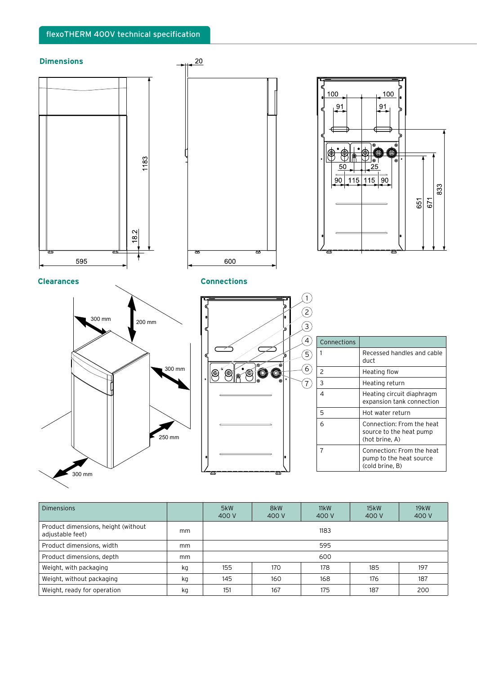

| <b>Dimensions</b>                                       |    | 5kW<br>400 V | 8kW<br>400 V | 11kW<br>400 V | 15kW<br>400 V | 19kW<br>400 V |
|---------------------------------------------------------|----|--------------|--------------|---------------|---------------|---------------|
| Product dimensions, height (without<br>adjustable feet) | mm | 1183         |              |               |               |               |
| Product dimensions, width                               | mm | 595          |              |               |               |               |
| Product dimensions, depth                               | mm | 600          |              |               |               |               |
| Weight, with packaging                                  | kg | 155          | 170          | 178           | 185           | 197           |
| Weight, without packaging                               | kg | 145          | 160          | 168           | 176           | 187           |
| Weight, ready for operation                             | kg | 151          | 167          | 175           | 187           | 200           |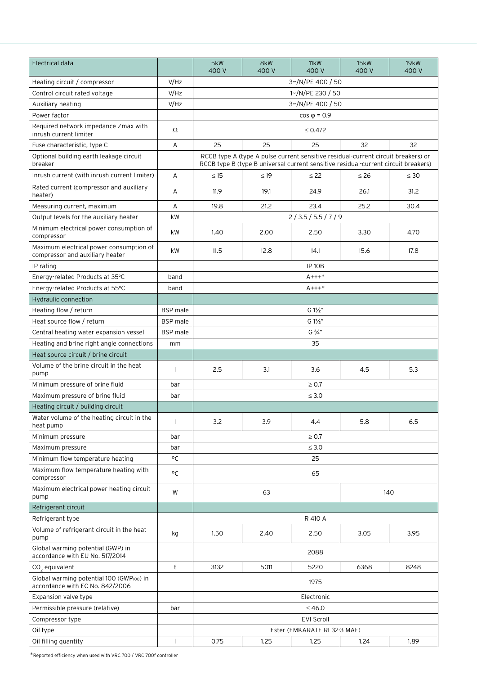| Electrical data                                                             |                 | 5kW<br>400 V      | 8kW<br>400 V | 11kW<br>400 V               | 15kW<br>400 V                                                                                                                                                           | <b>19kW</b><br>400 V |
|-----------------------------------------------------------------------------|-----------------|-------------------|--------------|-----------------------------|-------------------------------------------------------------------------------------------------------------------------------------------------------------------------|----------------------|
| Heating circuit / compressor                                                | V/HZ            |                   |              | 3~/N/PE 400 / 50            |                                                                                                                                                                         |                      |
| Control circuit rated voltage                                               | V/HZ            |                   |              | 1~/N/PE 230 / 50            |                                                                                                                                                                         |                      |
| Auxiliary heating                                                           | V/Hz            |                   |              | 3~/N/PE 400 / 50            |                                                                                                                                                                         |                      |
| Power factor                                                                |                 |                   |              | $\cos \varphi = 0.9$        |                                                                                                                                                                         |                      |
| Required network impedance Zmax with<br>inrush current limiter              | Ω               |                   |              | $\leq 0.472$                |                                                                                                                                                                         |                      |
| Fuse characteristic, type C                                                 | Α               | 25                | 25           | 25                          | 32                                                                                                                                                                      | 32                   |
| Optional building earth leakage circuit<br>breaker                          |                 |                   |              |                             | RCCB type A (type A pulse current sensitive residual-current circuit breakers) or<br>RCCB type B (type B universal current sensitive residual-current circuit breakers) |                      |
| Inrush current (with inrush current limiter)                                | A               | $\leq$ 15         | $\leq$ 19    | $\leq 22$                   | $\leq 26$                                                                                                                                                               | $\leq 30$            |
| Rated current (compressor and auxiliary<br>heater)                          | Α               | 11.9              | 19.1         | 24.9                        | 26.1                                                                                                                                                                    | 31.2                 |
| Measuring current, maximum                                                  | А               | 19.8              | 21.2         | 23.4                        | 25.2                                                                                                                                                                    | 30.4                 |
| Output levels for the auxiliary heater                                      | kW              |                   |              | 2/3.5/5.5/7/9               |                                                                                                                                                                         |                      |
| Minimum electrical power consumption of<br>compressor                       | kW              | 1.40              | 2.00         | 2.50                        | 3.30                                                                                                                                                                    | 4.70                 |
| Maximum electrical power consumption of<br>compressor and auxiliary heater  | kW              | 11.5              | 12.8         | 14.1                        | 15.6                                                                                                                                                                    | 17.8                 |
| IP rating                                                                   |                 | <b>IP 10B</b>     |              |                             |                                                                                                                                                                         |                      |
| Energy-related Products at 35°C                                             | band            |                   |              | $A^{+++*}$                  |                                                                                                                                                                         |                      |
| Energy-related Products at 55°C                                             | band            |                   |              | $A + + +$ *                 |                                                                                                                                                                         |                      |
| <b>Hydraulic connection</b>                                                 |                 |                   |              |                             |                                                                                                                                                                         |                      |
| Heating flow / return                                                       | <b>BSP</b> male | $G1\frac{1}{2}$ " |              |                             |                                                                                                                                                                         |                      |
| Heat source flow / return                                                   | <b>BSP</b> male |                   |              | G 1½"                       |                                                                                                                                                                         |                      |
| Central heating water expansion vessel                                      | <b>BSP</b> male | $G\frac{3}{4}$ "  |              |                             |                                                                                                                                                                         |                      |
| Heating and brine right angle connections                                   | mm              |                   |              | 35                          |                                                                                                                                                                         |                      |
| Heat source circuit / brine circuit                                         |                 |                   |              |                             |                                                                                                                                                                         |                      |
| Volume of the brine circuit in the heat<br>pump                             | H               | 2.5               | 3.1          | 3.6                         | 4.5                                                                                                                                                                     | 5.3                  |
| Minimum pressure of brine fluid                                             | bar             |                   |              | $\geq 0.7$                  |                                                                                                                                                                         |                      |
| Maximum pressure of brine fluid                                             | bar             |                   |              | $\leq 3.0$                  |                                                                                                                                                                         |                      |
| Heating circuit / building circuit                                          |                 |                   |              |                             |                                                                                                                                                                         |                      |
| Water volume of the heating circuit in the<br>heat pump                     | ı               | 3.2               | 3.9          | 4.4                         | 5.8                                                                                                                                                                     | 6.5                  |
| Minimum pressure                                                            | bar             |                   |              | $\geq 0.7$                  |                                                                                                                                                                         |                      |
| Maximum pressure                                                            | bar             |                   |              | $\leq 3.0$                  |                                                                                                                                                                         |                      |
| Minimum flow temperature heating                                            | °C              |                   |              | 25                          |                                                                                                                                                                         |                      |
| Maximum flow temperature heating with<br>compressor                         | °C              |                   |              | 65                          |                                                                                                                                                                         |                      |
| Maximum electrical power heating circuit<br>pump                            | W               |                   | 63           |                             | 140                                                                                                                                                                     |                      |
| Refrigerant circuit                                                         |                 |                   |              |                             |                                                                                                                                                                         |                      |
| Refrigerant type                                                            |                 |                   |              | R 410 A                     |                                                                                                                                                                         |                      |
| Volume of refrigerant circuit in the heat<br>pump                           | kg              | 1.50              | 2.40         | 2.50                        | 3.05                                                                                                                                                                    | 3.95                 |
| Global warming potential (GWP) in<br>accordance with EU No. 517/2014        |                 |                   |              | 2088                        |                                                                                                                                                                         |                      |
| CO <sub>2</sub> equivalent                                                  | t               | 3132              | 5011         | 5220                        | 6368                                                                                                                                                                    | 8248                 |
| Global warming potential 100 (GWP100) in<br>accordance with EC No. 842/2006 |                 | 1975              |              |                             |                                                                                                                                                                         |                      |
| Expansion valve type                                                        |                 | Electronic        |              |                             |                                                                                                                                                                         |                      |
| Permissible pressure (relative)                                             | bar             | ≤46.0             |              |                             |                                                                                                                                                                         |                      |
| Compressor type                                                             |                 | <b>EVI Scroll</b> |              |                             |                                                                                                                                                                         |                      |
| Oil type                                                                    |                 |                   |              | Ester (EMKARATE RL32-3 MAF) |                                                                                                                                                                         |                      |
| Oil filling quantity                                                        |                 | 0.75              | 1.25         | 1.25                        | 1.24                                                                                                                                                                    | 1.89                 |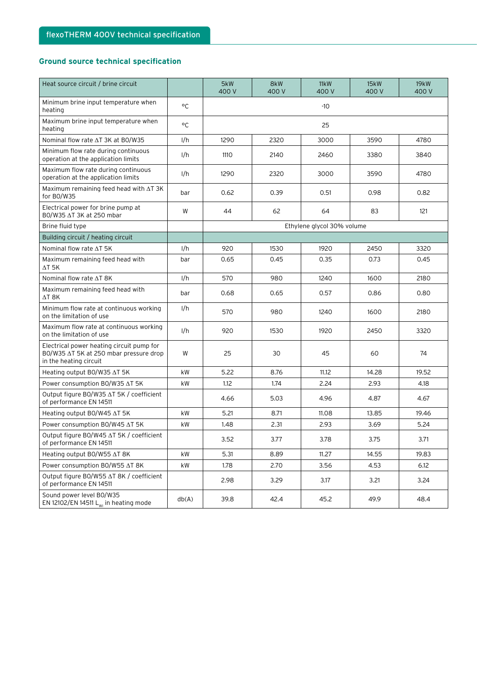#### **Ground source technical specification**

| Heat source circuit / brine circuit                                                                           |       | 5kW<br>400 V | 8kW<br>400 V | 11kW<br>400 V              | 15kW<br>400 V | 19kW<br>400 V |
|---------------------------------------------------------------------------------------------------------------|-------|--------------|--------------|----------------------------|---------------|---------------|
| Minimum brine input temperature when<br>heating                                                               | °C    |              |              | $-10$                      |               |               |
| Maximum brine input temperature when<br>heating                                                               | °C    |              |              | 25                         |               |               |
| Nominal flow rate ∆T 3K at BO/W35                                                                             | 1/h   | 1290         | 2320         | 3000                       | 3590          | 4780          |
| Minimum flow rate during continuous<br>operation at the application limits                                    | 1/h   | 1110         | 2140         | 2460                       | 3380          | 3840          |
| Maximum flow rate during continuous<br>operation at the application limits                                    | 1/h   | 1290         | 2320         | 3000                       | 3590          | 4780          |
| Maximum remaining feed head with ∆T 3K<br>for BO/W35                                                          | bar   | 0.62         | 0.39         | 0.51                       | 0.98          | 0.82          |
| Electrical power for brine pump at<br>B0/W35 ∆T 3K at 250 mbar                                                | W     | 44           | 62           | 64                         | 83            | 121           |
| Brine fluid type                                                                                              |       |              |              | Ethylene glycol 30% volume |               |               |
| Building circuit / heating circuit                                                                            |       |              |              |                            |               |               |
| Nominal flow rate ∆T 5K                                                                                       | 1/h   | 920          | 1530         | 1920                       | 2450          | 3320          |
| Maximum remaining feed head with<br>ΔT 5K                                                                     | bar   | 0.65         | 0.45         | 0.35                       | 0.73          | 0.45          |
| Nominal flow rate ∆T 8K                                                                                       | 1/h   | 570          | 980          | 1240                       | 1600          | 2180          |
| Maximum remaining feed head with<br>$\Delta T$ 8K                                                             | bar   | 0.68         | 0.65         | 0.57                       | 0.86          | 0.80          |
| Minimum flow rate at continuous working<br>on the limitation of use                                           | 1/h   | 570          | 980          | 1240                       | 1600          | 2180          |
| Maximum flow rate at continuous working<br>on the limitation of use                                           | 1/h   | 920          | 1530         | 1920                       | 2450          | 3320          |
| Electrical power heating circuit pump for<br>BO/W35 ∆T 5K at 250 mbar pressure drop<br>in the heating circuit | W     | 25           | 30           | 45                         | 60            | 74            |
| Heating output BO/W35 ∆T 5K                                                                                   | kW    | 5.22         | 8.76         | 11.12                      | 14.28         | 19.52         |
| Power consumption BO/W35 ∆T 5K                                                                                | kW    | 1.12         | 1.74         | 2.24                       | 2.93          | 4.18          |
| Output figure BO/W35 ∆T 5K / coefficient<br>of performance EN 14511                                           |       | 4.66         | 5.03         | 4.96                       | 4.87          | 4.67          |
| Heating output BO/W45 AT 5K                                                                                   | kW    | 5.21         | 8.71         | 11.08                      | 13.85         | 19.46         |
| Power consumption BO/W45 ∆T 5K                                                                                | kW    | 1.48         | 2.31         | 2.93                       | 3.69          | 5.24          |
| Output figure BO/W45 ∆T 5K / coefficient<br>of performance EN 14511                                           |       | 3.52         | 3.77         | 3.78                       | 3.75          | 3.71          |
| Heating output BO/W55 AT 8K                                                                                   | kW    | 5.31         | 8.89         | 11.27                      | 14.55         | 19.83         |
| Power consumption BO/W55 AT 8K                                                                                | kW    | 1.78         | 2.70         | 3.56                       | 4.53          | 6.12          |
| Output figure BO/W55 ∆T 8K / coefficient<br>of performance EN 14511                                           |       | 2.98         | 3.29         | 3.17                       | 3.21          | 3.24          |
| Sound power level BO/W35<br>EN 12102/EN 14511 $L_{w1}$ in heating mode                                        | db(A) | 39.8         | 42.4         | 45.2                       | 49.9          | 48.4          |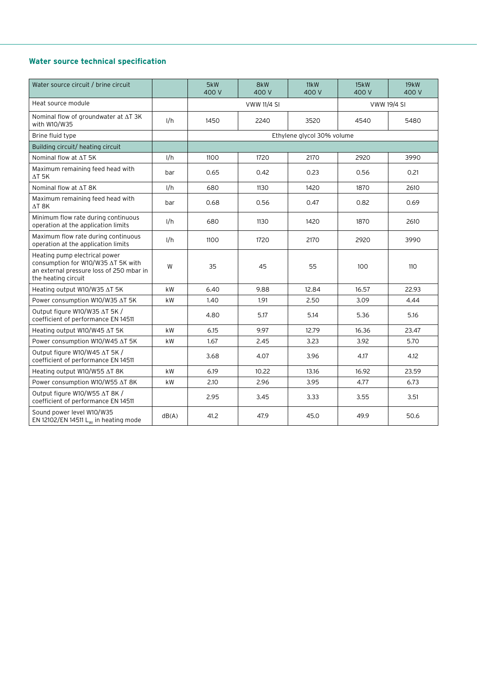#### **Water source technical specification**

| Water source circuit / brine circuit                                                                                                   |           | 5kW<br>400 V | 8kW<br>400 V       | 11kW<br>400 V              | 15kW<br>400 V      | 19kW<br>400 V |
|----------------------------------------------------------------------------------------------------------------------------------------|-----------|--------------|--------------------|----------------------------|--------------------|---------------|
| Heat source module                                                                                                                     |           |              | <b>VWW 11/4 SI</b> |                            | <b>VWW 19/4 SI</b> |               |
| Nominal flow of groundwater at $\Delta T$ 3K<br>with W10/W35                                                                           | 1/h       | 1450         | 2240               | 3520                       | 4540               | 5480          |
| Brine fluid type                                                                                                                       |           |              |                    | Ethylene glycol 30% volume |                    |               |
| Building circuit/ heating circuit                                                                                                      |           |              |                    |                            |                    |               |
| Nominal flow at ∆T 5K                                                                                                                  | 1/h       | 1100         | 1720               | 2170                       | 2920               | 3990          |
| Maximum remaining feed head with<br>$\Delta$ t 5K                                                                                      | bar       | 0.65         | 0.42               | 0.23                       | 0.56               | 0.21          |
| Nominal flow at AT 8K                                                                                                                  | 1/h       | 680          | 1130               | 1420                       | 1870               | 2610          |
| Maximum remaining feed head with<br>$\Delta T$ 8K                                                                                      | bar       | 0.68         | 0.56               | 0.47                       | 0.82               | 0.69          |
| Minimum flow rate during continuous<br>operation at the application limits                                                             | 1/h       | 680          | 1130               | 1420                       | 1870               | 2610          |
| Maximum flow rate during continuous<br>operation at the application limits                                                             | 1/h       | 1100         | 1720               | 2170                       | 2920               | 3990          |
| Heating pump electrical power<br>consumption for W10/W35 ∆T 5K with<br>an external pressure loss of 250 mbar in<br>the heating circuit | W         | 35           | 45                 | 55                         | 100                | 110           |
| Heating output W10/W35 AT 5K                                                                                                           | kW        | 6.40         | 9.88               | 12.84                      | 16.57              | 22.93         |
| Power consumption W10/W35 ∆T 5K                                                                                                        | kW        | 1.40         | 1.91               | 2.50                       | 3.09               | 4.44          |
| Output figure W10/W35 AT 5K /<br>coefficient of performance EN 14511                                                                   |           | 4.80         | 5.17               | 5.14                       | 5.36               | 5.16          |
| Heating output W10/W45 AT 5K                                                                                                           | kW        | 6.15         | 9.97               | 12.79                      | 16.36              | 23.47         |
| Power consumption W10/W45 ∆T 5K                                                                                                        | kW        | 1.67         | 2.45               | 3.23                       | 3.92               | 5.70          |
| Output figure W10/W45 AT 5K /<br>coefficient of performance EN 14511                                                                   |           | 3.68         | 4.07               | 3.96                       | 4.17               | 4.12          |
| Heating output W10/W55 AT 8K                                                                                                           | <b>kW</b> | 6.19         | 10.22              | 13.16                      | 16.92              | 23.59         |
| Power consumption W10/W55 ∆T 8K                                                                                                        | kW        | 2.10         | 2.96               | 3.95                       | 4.77               | 6.73          |
| Output figure W10/W55 ∆T 8K /<br>coefficient of performance EN 14511                                                                   |           | 2.95         | 3.45               | 3.33                       | 3.55               | 3.51          |
| Sound power level W10/W35<br>EN 12102/EN 14511 $L_{w1}$ in heating mode                                                                | dB(A)     | 41.2         | 47.9               | 45.0                       | 49.9               | 50.6          |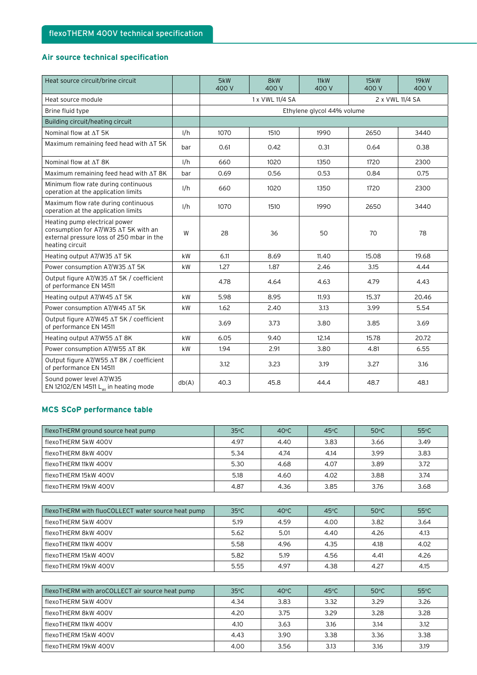#### **Air source technical specification**

| Heat source circuit/brine circuit                                                                                                     |       | 5kW<br>400 V | 8kW<br>400 V                       | 11kW<br>400 V | 15kW<br>400 V | 19kW<br>400 V |  |
|---------------------------------------------------------------------------------------------------------------------------------------|-------|--------------|------------------------------------|---------------|---------------|---------------|--|
| Heat source module                                                                                                                    |       |              | 2 x VWL 11/4 SA<br>1 x VWL 11/4 SA |               |               |               |  |
| Brine fluid type                                                                                                                      |       |              | Ethylene glycol 44% volume         |               |               |               |  |
| Building circuit/heating circuit                                                                                                      |       |              |                                    |               |               |               |  |
| Nominal flow at ∆T 5K                                                                                                                 | 1/h   | 1070         | 1510                               | 1990          | 2650          | 3440          |  |
| Maximum remaining feed head with $\Delta T$ 5K                                                                                        | bar   | 0.61         | 0.42                               | 0.31          | 0.64          | 0.38          |  |
| Nominal flow at AT 8K                                                                                                                 | 1/h   | 660          | 1020                               | 1350          | 1720          | 2300          |  |
| Maximum remaining feed head with $\Delta T$ 8K                                                                                        | bar   | 0.69         | 0.56                               | 0.53          | 0.84          | 0.75          |  |
| Minimum flow rate during continuous<br>operation at the application limits                                                            | 1/h   | 660          | 1020                               | 1350          | 1720          | 2300          |  |
| Maximum flow rate during continuous<br>operation at the application limits                                                            | 1/h   | 1070         | 1510                               | 1990          | 2650          | 3440          |  |
| Heating pump electrical power<br>consumption for A7/W35 ∆T 5K with an<br>external pressure loss of 250 mbar in the<br>heating circuit | W     | 28           | 36                                 | 50            | 70            | 78            |  |
| Heating output A7/W35 AT 5K                                                                                                           | kW    | 6.11         | 8.69                               | 11.40         | 15.08         | 19.68         |  |
| Power consumption A7/W35 AT 5K                                                                                                        | kW    | 1.27         | 1.87                               | 2.46          | 3.15          | 4.44          |  |
| Output figure A7/W35 ∆T 5K / coefficient<br>of performance EN 14511                                                                   |       | 4.78         | 4.64                               | 4.63          | 4.79          | 4.43          |  |
| Heating output A7/W45 AT 5K                                                                                                           | kW    | 5.98         | 8.95                               | 11.93         | 15.37         | 20.46         |  |
| Power consumption A7/W45 ∆T 5K                                                                                                        | kW    | 1.62         | 2.40                               | 3.13          | 3.99          | 5.54          |  |
| Output figure A7/W45 ∆T 5K / coefficient<br>of performance EN 14511                                                                   |       | 3.69         | 3.73                               | 3.80          | 3.85          | 3.69          |  |
| Heating output A7/W55 AT 8K                                                                                                           | kW    | 6.05         | 9.40                               | 12.14         | 15.78         | 20.72         |  |
| Power consumption A7/W55 AT 8K                                                                                                        | kW    | 1.94         | 2.91                               | 3.80          | 4.81          | 6.55          |  |
| Output figure A7/W55 ∆T 8K / coefficient<br>of performance EN 14511                                                                   |       | 3.12         | 3.23                               | 3.19          | 3.27          | 3.16          |  |
| Sound power level A7/W35<br>EN 12102/EN 14511 $L_{w1}$ in heating mode                                                                | db(A) | 40.3         | 45.8                               | 44.4          | 48.7          | 48.1          |  |

#### **MCS SCoP performance table**

| flexoTHERM ground source heat pump | $35^{\circ}$ C | $40^{\circ}$ C | $45^{\circ}$ C | $50^{\circ}$ C | $55^{\circ}$ C |
|------------------------------------|----------------|----------------|----------------|----------------|----------------|
| flexoTHERM 5kW 400V                | 4.97           | 4.40           | 3.83           | 3.66           | 3.49           |
| flexoTHERM 8kW 400V                | 5.34           | 4.74           | 4.14           | 3.99           | 3.83           |
| flexoTHERM 11kW 400V               | 5.30           | 4.68           | 4.07           | 3.89           | 3.72           |
| flexoTHERM 15kW 400V               | 5.18           | 4.60           | 4.02           | 3.88           | 3.74           |
| flexoTHERM 19kW 400V               | 4.87           | 4.36           | 3.85           | 3.76           | 3.68           |

| flexoTHERM with fluoCOLLECT water source heat pump | $35^{\circ}$ C | $40^{\circ}$ C | $45^{\circ}$ C | $50^{\circ}$ C | $55^{\circ}$ C |
|----------------------------------------------------|----------------|----------------|----------------|----------------|----------------|
| flexoTHERM 5kW 400V                                | 5.19           | 4.59           | 4.00           | 3.82           | 3.64           |
| flexoTHERM 8kW 400V                                | 5.62           | 5.01           | 4.40           | 4.26           | 4.13           |
| flexoTHERM 11kW 400V                               | 5.58           | 4.96           | 4.35           | 4.18           | 4.02           |
| flexoTHERM 15kW 400V                               | 5.82           | 5.19           | 4.56           | 4.41           | 4.26           |
| flexoTHERM 19kW 400V                               | 5.55           | 4.97           | 4.38           | 4.27           | 4.15           |

| flexoTHERM with aroCOLLECT air source heat pump | $35^{\circ}$ C | $40^{\circ}$ C | $45^{\circ}$ C | $50^{\circ}$ C | $55^{\circ}$ C |
|-------------------------------------------------|----------------|----------------|----------------|----------------|----------------|
| flexoTHERM 5kW 400V                             | 4.34           | 3.83           | 3.32           | 3.29           | 3.26           |
| flexoTHERM 8kW 400V                             | 4.20           | 3.75           | 3.29           | 3.28           | 3.28           |
| flexoTHERM 11kW 400V                            | 4.10           | 3.63           | 3.16           | 3.14           | 3.12           |
| flexoTHERM 15kW 400V                            | 4.43           | 3.90           | 3.38           | 3.36           | 3.38           |
| flexoTHERM 19kW 400V                            | 4.00           | 3.56           | 3.13           | 3.16           | 3.19           |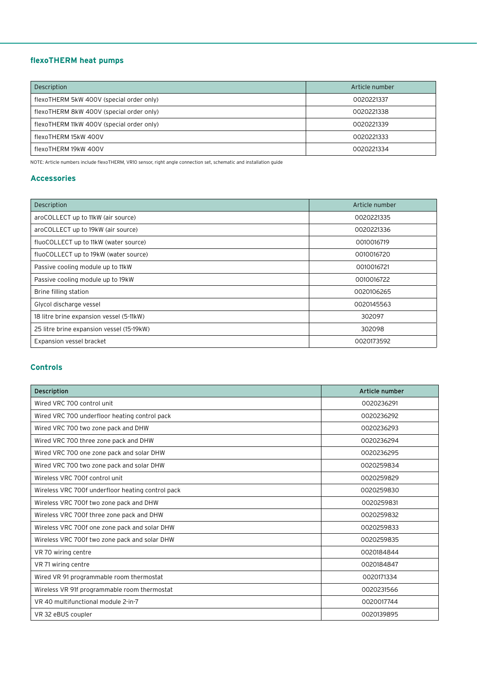### **flexoTHERM heat pumps**

| Description                               | Article number |
|-------------------------------------------|----------------|
| flexoTHERM 5kW 400V (special order only)  | 0020221337     |
| flexoTHERM 8kW 400V (special order only)  | 0020221338     |
| flexoTHERM 11kW 400V (special order only) | 0020221339     |
| flexoTHERM 15kW 400V                      | 0020221333     |
| flexoTHERM 19kW 400V                      | 0020221334     |

NOTE: Article numbers include flexoTHERM, VR10 sensor, right angle connection set, schematic and installation guide

#### **Accessories**

| Description                               | Article number |
|-------------------------------------------|----------------|
| aroCOLLECT up to 11kW (air source)        | 0020221335     |
| aroCOLLECT up to 19kW (air source)        | 0020221336     |
| fluoCOLLECT up to 11kW (water source)     | 0010016719     |
| fluoCOLLECT up to 19kW (water source)     | 0010016720     |
| Passive cooling module up to 11kW         | 0010016721     |
| Passive cooling module up to 19kW         | 0010016722     |
| Brine filling station                     | 0020106265     |
| Glycol discharge vessel                   | 0020145563     |
| 18 litre brine expansion vessel (5-11kW)  | 302097         |
| 25 litre brine expansion vessel (15-19kW) | 302098         |
| Expansion vessel bracket                  | 0020173592     |

#### **Controls**

| Description                                       | Article number |
|---------------------------------------------------|----------------|
| Wired VRC 700 control unit                        | 0020236291     |
| Wired VRC 700 underfloor heating control pack     | 0020236292     |
| Wired VRC 700 two zone pack and DHW               | 0020236293     |
| Wired VRC 700 three zone pack and DHW             | 0020236294     |
| Wired VRC 700 one zone pack and solar DHW         | 0020236295     |
| Wired VRC 700 two zone pack and solar DHW         | 0020259834     |
| Wireless VRC 700f control unit                    | 0020259829     |
| Wireless VRC 700f underfloor heating control pack | 0020259830     |
| Wireless VRC 700f two zone pack and DHW           | 0020259831     |
| Wireless VRC 700f three zone pack and DHW         | 0020259832     |
| Wireless VRC 700f one zone pack and solar DHW     | 0020259833     |
| Wireless VRC 700f two zone pack and solar DHW     | 0020259835     |
| VR 70 wiring centre                               | 0020184844     |
| VR 71 wiring centre                               | 0020184847     |
| Wired VR 91 programmable room thermostat          | 0020171334     |
| Wireless VR 91f programmable room thermostat      | 0020231566     |
| VR 40 multifunctional module 2-in-7               | 0020017744     |
| VR 32 eBUS coupler                                | 0020139895     |